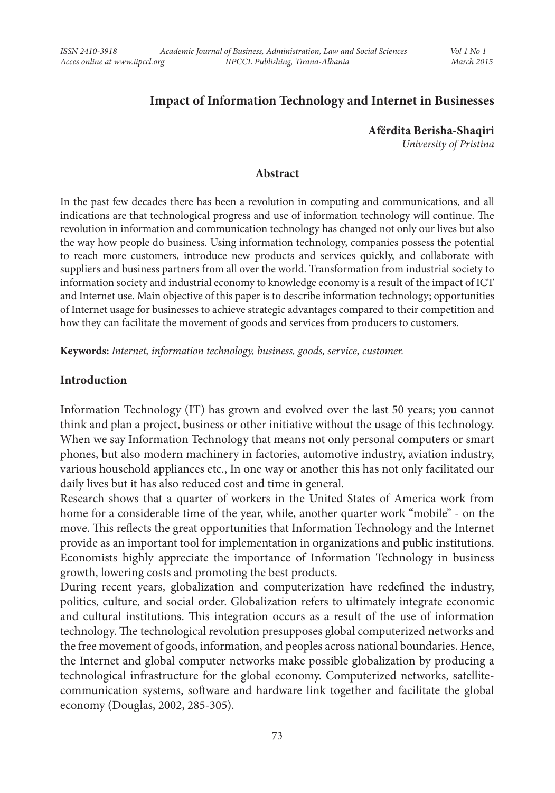## **Impact of Information Technology and Internet in Businesses**

**Afërdita Berisha-Shaqiri** *University of Pristina*

#### **Abstract**

In the past few decades there has been a revolution in computing and communications, and all indications are that technological progress and use of information technology will continue. The revolution in information and communication technology has changed not only our lives but also the way how people do business. Using information technology, companies possess the potential to reach more customers, introduce new products and services quickly, and collaborate with suppliers and business partners from all over the world. Transformation from industrial society to information society and industrial economy to knowledge economy is a result of the impact of ICT and Internet use. Main objective of this paper is to describe information technology; opportunities of Internet usage for businesses to achieve strategic advantages compared to their competition and how they can facilitate the movement of goods and services from producers to customers.

**Keywords:** *Internet, information technology, business, goods, service, customer.*

#### **Introduction**

Information Technology (IT) has grown and evolved over the last 50 years; you cannot think and plan a project, business or other initiative without the usage of this technology. When we say Information Technology that means not only personal computers or smart phones, but also modern machinery in factories, automotive industry, aviation industry, various household appliances etc., In one way or another this has not only facilitated our daily lives but it has also reduced cost and time in general.

Research shows that a quarter of workers in the United States of America work from home for a considerable time of the year, while, another quarter work "mobile" - on the move. This reflects the great opportunities that Information Technology and the Internet provide as an important tool for implementation in organizations and public institutions. Economists highly appreciate the importance of Information Technology in business growth, lowering costs and promoting the best products.

During recent years, globalization and computerization have redefined the industry, politics, culture, and social order. Globalization refers to ultimately integrate economic and cultural institutions. This integration occurs as a result of the use of information technology. The technological revolution presupposes global computerized networks and the free movement of goods, information, and peoples across national boundaries. Hence, the Internet and global computer networks make possible globalization by producing a technological infrastructure for the global economy. Computerized networks, satellitecommunication systems, software and hardware link together and facilitate the global economy (Douglas, 2002, 285-305).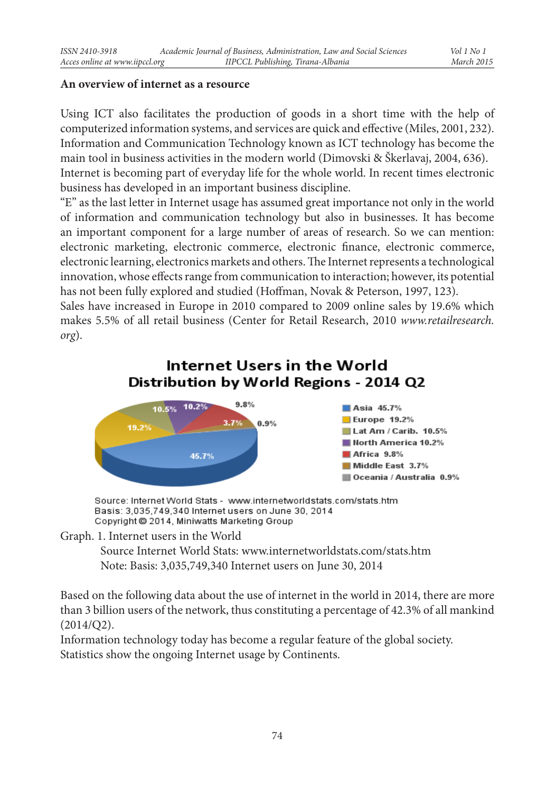### **An overview of internet as a resource**

Using ICT also facilitates the production of goods in a short time with the help of computerized information systems, and services are quick and effective (Miles, 2001, 232). Information and Communication Technology known as ICT technology has become the main tool in business activities in the modern world (Dimovski & Škerlavaj, 2004, 636). Internet is becoming part of everyday life for the whole world. In recent times electronic business has developed in an important business discipline.

"E" as the last letter in Internet usage has assumed great importance not only in the world of information and communication technology but also in businesses. It has become an important component for a large number of areas of research. So we can mention: electronic marketing, electronic commerce, electronic finance, electronic commerce, electronic learning, electronics markets and others. The Internet represents a technological innovation, whose effects range from communication to interaction; however, its potential has not been fully explored and studied (Hoffman, Novak & Peterson, 1997, 123).

Sales have increased in Europe in 2010 compared to 2009 online sales by 19.6% which makes 5.5% of all retail business (Center for Retail Research, 2010 *www.retailresearch. org*).

# Internet Users in the World Distribution by World Regions - 2014 Q2



Source: Internet World Stats - www.internetworldstats.com/stats.htm Basis: 3,035,749,340 Internet users on June 30, 2014 Copyright @ 2014, Miniwatts Marketing Group

#### Graph. 1. Internet users in the World

Source Internet World Stats: www.internetworldstats.com/stats.htm Note: Basis: 3,035,749,340 Internet users on June 30, 2014

Based on the following data about the use of internet in the world in 2014, there are more than 3 billion users of the network, thus constituting a percentage of 42.3% of all mankind  $(2014/Q2)$ .

Information technology today has become a regular feature of the global society. Statistics show the ongoing Internet usage by Continents.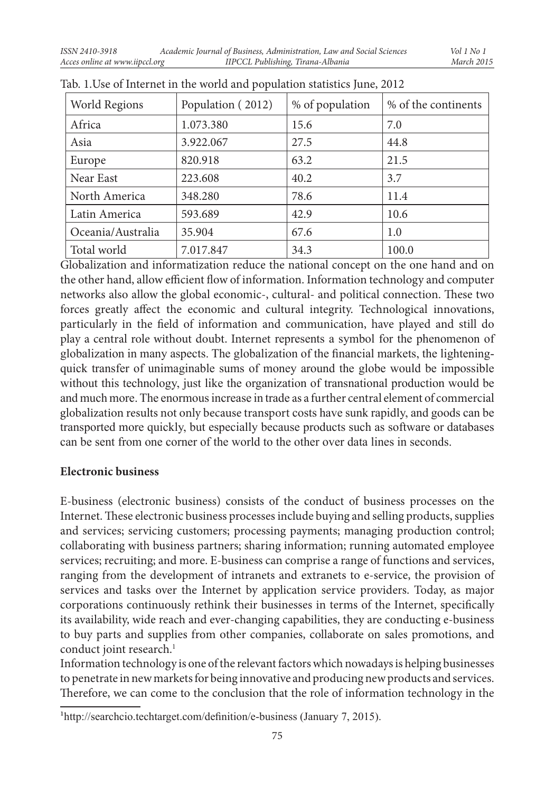| World Regions     | Population (2012) | % of population | % of the continents |
|-------------------|-------------------|-----------------|---------------------|
| Africa            | 1.073.380         | 15.6            | 7.0                 |
| Asia              | 3.922.067         | 27.5            | 44.8                |
| Europe            | 820.918           | 63.2            | 21.5                |
| Near East         | 223.608           | 40.2            | 3.7                 |
| North America     | 348.280           | 78.6            | 11.4                |
| Latin America     | 593.689           | 42.9            | 10.6                |
| Oceania/Australia | 35.904            | 67.6            | 1.0                 |
| Total world       | 7.017.847         | 34.3            | 100.0               |

| Tab. 1. Use of Internet in the world and population statistics June, 2012 |  |
|---------------------------------------------------------------------------|--|
|---------------------------------------------------------------------------|--|

Globalization and informatization reduce the national concept on the one hand and on the other hand, allow efficient flow of information. Information technology and computer networks also allow the global economic-, cultural- and political connection. These two forces greatly affect the economic and cultural integrity. Technological innovations, particularly in the field of information and communication, have played and still do play a central role without doubt. Internet represents a symbol for the phenomenon of globalization in many aspects. The globalization of the financial markets, the lighteningquick transfer of unimaginable sums of money around the globe would be impossible without this technology, just like the organization of transnational production would be and much more. The enormous increase in trade as a further central element of commercial globalization results not only because transport costs have sunk rapidly, and goods can be transported more quickly, but especially because products such as software or databases can be sent from one corner of the world to the other over data lines in seconds.

#### **Electronic business**

E-business (electronic business) consists of the conduct of business processes on the Internet. These electronic business processes include buying and selling products, supplies and services; servicing customers; processing payments; managing production control; collaborating with business partners; sharing information; running automated employee services; recruiting; and more. E-business can comprise a range of functions and services, ranging from the development of intranets and extranets to e-service, the provision of services and tasks over the Internet by application service providers. Today, as major corporations continuously rethink their businesses in terms of the Internet, specifically its availability, wide reach and ever-changing capabilities, they are conducting e-business to buy parts and supplies from other companies, collaborate on sales promotions, and conduct joint research.<sup>1</sup>

Information technology is one of the relevant factors which nowadays is helping businesses to penetrate in new markets for being innovative and producing new products and services. Therefore, we can come to the conclusion that the role of information technology in the

<sup>1</sup>http://searchcio.techtarget.com/definition/e-business (January 7, 2015).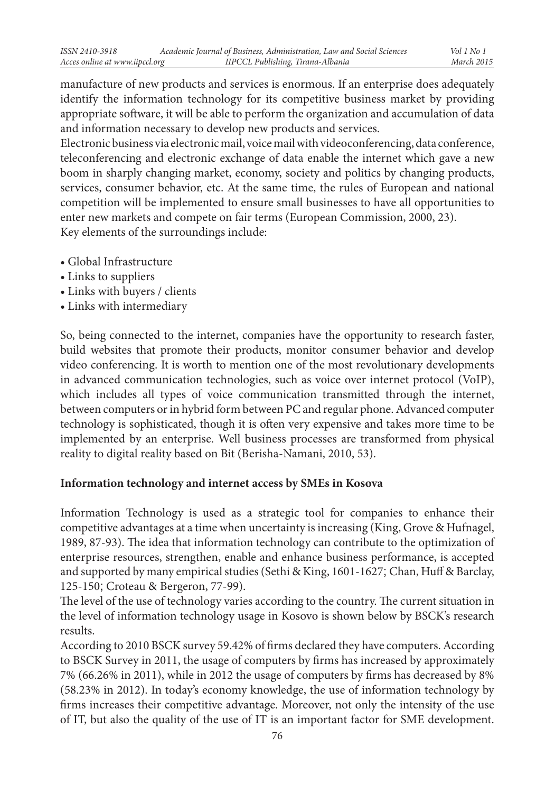manufacture of new products and services is enormous. If an enterprise does adequately identify the information technology for its competitive business market by providing appropriate software, it will be able to perform the organization and accumulation of data and information necessary to develop new products and services.

Electronic business via electronic mail, voice mail with videoconferencing, data conference, teleconferencing and electronic exchange of data enable the internet which gave a new boom in sharply changing market, economy, society and politics by changing products, services, consumer behavior, etc. At the same time, the rules of European and national competition will be implemented to ensure small businesses to have all opportunities to enter new markets and compete on fair terms (European Commission, 2000, 23). Key elements of the surroundings include:

- Global Infrastructure
- Links to suppliers
- Links with buyers / clients
- Links with intermediary

So, being connected to the internet, companies have the opportunity to research faster, build websites that promote their products, monitor consumer behavior and develop video conferencing. It is worth to mention one of the most revolutionary developments in advanced communication technologies, such as voice over internet protocol (VoIP), which includes all types of voice communication transmitted through the internet, between computers or in hybrid form between PC and regular phone. Advanced computer technology is sophisticated, though it is often very expensive and takes more time to be implemented by an enterprise. Well business processes are transformed from physical reality to digital reality based on Bit (Berisha-Namani, 2010, 53).

## **Information technology and internet access by SMEs in Kosova**

Information Technology is used as a strategic tool for companies to enhance their competitive advantages at a time when uncertainty is increasing (King, Grove & Hufnagel, 1989, 87-93). The idea that information technology can contribute to the optimization of enterprise resources, strengthen, enable and enhance business performance, is accepted and supported by many empirical studies (Sethi & King, 1601-1627; Chan, Huff & Barclay, 125-150; Croteau & Bergeron, 77-99).

The level of the use of technology varies according to the country. The current situation in the level of information technology usage in Kosovo is shown below by BSCK's research results.

According to 2010 BSCK survey 59.42% of firms declared they have computers. According to BSCK Survey in 2011, the usage of computers by firms has increased by approximately 7% (66.26% in 2011), while in 2012 the usage of computers by firms has decreased by 8% (58.23% in 2012). In today's economy knowledge, the use of information technology by firms increases their competitive advantage. Moreover, not only the intensity of the use of IT, but also the quality of the use of IT is an important factor for SME development.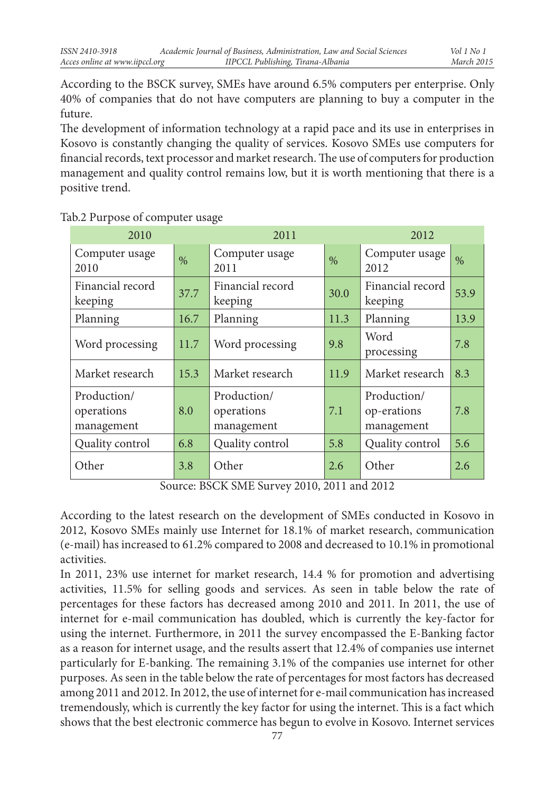According to the BSCK survey, SMEs have around 6.5% computers per enterprise. Only 40% of companies that do not have computers are planning to buy a computer in the future.

The development of information technology at a rapid pace and its use in enterprises in Kosovo is constantly changing the quality of services. Kosovo SMEs use computers for financial records, text processor and market research. The use of computers for production management and quality control remains low, but it is worth mentioning that there is a positive trend.

| 2010                                    |      | 2011                                    |      | 2012                                     |      |
|-----------------------------------------|------|-----------------------------------------|------|------------------------------------------|------|
| Computer usage<br>2010                  | $\%$ | Computer usage<br>2011                  | $\%$ | Computer usage<br>2012                   | $\%$ |
| Financial record<br>keeping             | 37.7 | Financial record<br>keeping             | 30.0 | Financial record<br>keeping              | 53.9 |
| Planning                                | 16.7 | Planning                                | 11.3 | Planning                                 | 13.9 |
| Word processing                         | 11.7 | Word processing                         | 9.8  | Word<br>processing                       | 7.8  |
| Market research                         | 15.3 | Market research                         | 11.9 | Market research                          | 8.3  |
| Production/<br>operations<br>management | 8.0  | Production/<br>operations<br>management | 7.1  | Production/<br>op-erations<br>management | 7.8  |
| Quality control                         | 6.8  | Quality control                         | 5.8  | Quality control                          | 5.6  |
| Other                                   | 3.8  | Other                                   | 2.6  | Other                                    | 2.6  |

#### Tab.2 Purpose of computer usage

Source: BSCK SME Survey 2010, 2011 and 2012

According to the latest research on the development of SMEs conducted in Kosovo in 2012, Kosovo SMEs mainly use Internet for 18.1% of market research, communication (e-mail) has increased to 61.2% compared to 2008 and decreased to 10.1% in promotional activities.

In 2011, 23% use internet for market research, 14.4 % for promotion and advertising activities, 11.5% for selling goods and services. As seen in table below the rate of percentages for these factors has decreased among 2010 and 2011. In 2011, the use of internet for e-mail communication has doubled, which is currently the key-factor for using the internet. Furthermore, in 2011 the survey encompassed the E-Banking factor as a reason for internet usage, and the results assert that 12.4% of companies use internet particularly for E-banking. The remaining 3.1% of the companies use internet for other purposes. As seen in the table below the rate of percentages for most factors has decreased among 2011 and 2012. In 2012, the use of internet for e-mail communication has increased tremendously, which is currently the key factor for using the internet. This is a fact which shows that the best electronic commerce has begun to evolve in Kosovo. Internet services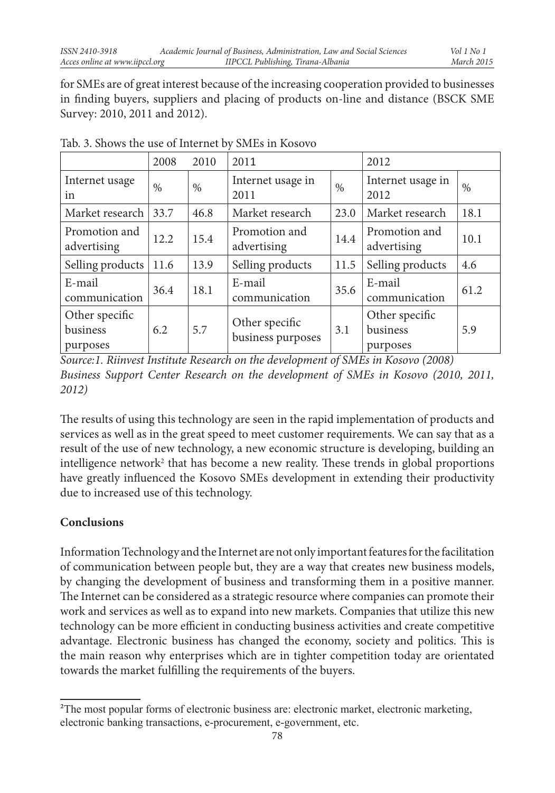for SMEs are of great interest because of the increasing cooperation provided to businesses in finding buyers, suppliers and placing of products on-line and distance (BSCK SME Survey: 2010, 2011 and 2012).

|                                        | 2008 | 2010 | 2011                                |      | 2012                                   |      |
|----------------------------------------|------|------|-------------------------------------|------|----------------------------------------|------|
| Internet usage<br>in                   | $\%$ | $\%$ | Internet usage in<br>2011           | $\%$ | Internet usage in<br>2012              | $\%$ |
| Market research                        | 33.7 | 46.8 | Market research                     | 23.0 | Market research                        | 18.1 |
| Promotion and<br>advertising           | 12.2 | 15.4 | Promotion and<br>advertising        | 14.4 | Promotion and<br>advertising           | 10.1 |
| Selling products                       | 11.6 | 13.9 | Selling products                    | 11.5 | Selling products                       | 4.6  |
| E-mail<br>communication                | 36.4 | 18.1 | E-mail<br>communication             | 35.6 | E-mail<br>communication                | 61.2 |
| Other specific<br>business<br>purposes | 6.2  | 5.7  | Other specific<br>business purposes | 3.1  | Other specific<br>business<br>purposes | 5.9  |

Tab. 3. Shows the use of Internet by SMEs in Kosovo

*Source:1. Riinvest Institute Research on the development of SMEs in Kosovo (2008) Business Support Center Research on the development of SMEs in Kosovo (2010, 2011, 2012)*

The results of using this technology are seen in the rapid implementation of products and services as well as in the great speed to meet customer requirements. We can say that as a result of the use of new technology, a new economic structure is developing, building an intelligence network<sup>2</sup> that has become a new reality. These trends in global proportions have greatly influenced the Kosovo SMEs development in extending their productivity due to increased use of this technology.

# **Conclusions**

Information Technology and the Internet are not only important features for the facilitation of communication between people but, they are a way that creates new business models, by changing the development of business and transforming them in a positive manner. The Internet can be considered as a strategic resource where companies can promote their work and services as well as to expand into new markets. Companies that utilize this new technology can be more efficient in conducting business activities and create competitive advantage. Electronic business has changed the economy, society and politics. This is the main reason why enterprises which are in tighter competition today are orientated towards the market fulfilling the requirements of the buyers.

<sup>2</sup>The most popular forms of electronic business are: electronic market, electronic marketing, electronic banking transactions, e-procurement, e-government, etc.